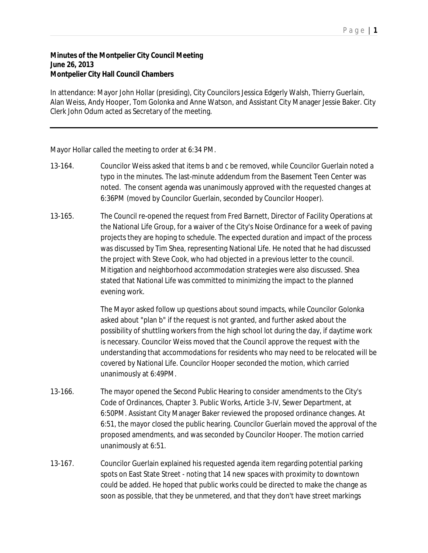## P a g e | **1**

## **Minutes of the Montpelier City Council Meeting June 26, 2013 Montpelier City Hall Council Chambers**

In attendance: Mayor John Hollar (presiding), City Councilors Jessica Edgerly Walsh, Thierry Guerlain, Alan Weiss, Andy Hooper, Tom Golonka and Anne Watson, and Assistant City Manager Jessie Baker. City Clerk John Odum acted as Secretary of the meeting.

Mayor Hollar called the meeting to order at 6:34 PM.

- 13-164. Councilor Weiss asked that items b and c be removed, while Councilor Guerlain noted a typo in the minutes. The last-minute addendum from the Basement Teen Center was noted. The consent agenda was unanimously approved with the requested changes at 6:36PM (moved by Councilor Guerlain, seconded by Councilor Hooper).
- 13-165. The Council re-opened the request from Fred Barnett, Director of Facility Operations at the National Life Group, for a waiver of the City's Noise Ordinance for a week of paving projects they are hoping to schedule. The expected duration and impact of the process was discussed by Tim Shea, representing National Life. He noted that he had discussed the project with Steve Cook, who had objected in a previous letter to the council. Mitigation and neighborhood accommodation strategies were also discussed. Shea stated that National Life was committed to minimizing the impact to the planned evening work.

The Mayor asked follow up questions about sound impacts, while Councilor Golonka asked about "plan b" if the request is not granted, and further asked about the possibility of shuttling workers from the high school lot during the day, if daytime work is necessary. Councilor Weiss moved that the Council approve the request with the understanding that accommodations for residents who may need to be relocated will be covered by National Life. Councilor Hooper seconded the motion, which carried unanimously at 6:49PM.

- 13-166. The mayor opened the Second Public Hearing to consider amendments to the City's Code of Ordinances, Chapter 3. Public Works, Article 3-IV, Sewer Department, at 6:50PM. Assistant City Manager Baker reviewed the proposed ordinance changes. At 6:51, the mayor closed the public hearing. Councilor Guerlain moved the approval of the proposed amendments, and was seconded by Councilor Hooper. The motion carried unanimously at 6:51.
- 13-167. Councilor Guerlain explained his requested agenda item regarding potential parking spots on East State Street - noting that 14 new spaces with proximity to downtown could be added. He hoped that public works could be directed to make the change as soon as possible, that they be unmetered, and that they don't have street markings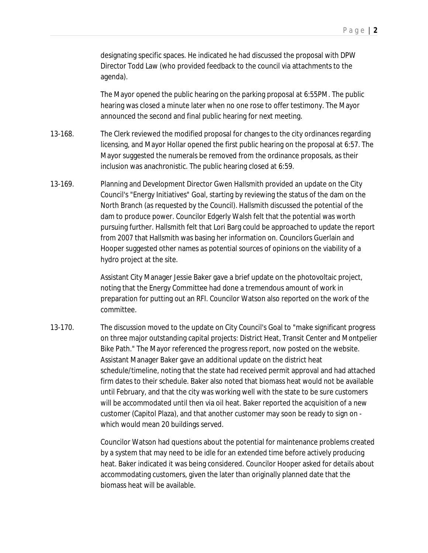designating specific spaces. He indicated he had discussed the proposal with DPW Director Todd Law (who provided feedback to the council via attachments to the agenda).

The Mayor opened the public hearing on the parking proposal at 6:55PM. The public hearing was closed a minute later when no one rose to offer testimony. The Mayor announced the second and final public hearing for next meeting.

- 13-168. The Clerk reviewed the modified proposal for changes to the city ordinances regarding licensing, and Mayor Hollar opened the first public hearing on the proposal at 6:57. The Mayor suggested the numerals be removed from the ordinance proposals, as their inclusion was anachronistic. The public hearing closed at 6:59.
- 13-169. Planning and Development Director Gwen Hallsmith provided an update on the City Council's "Energy Initiatives" Goal, starting by reviewing the status of the dam on the North Branch (as requested by the Council). Hallsmith discussed the potential of the dam to produce power. Councilor Edgerly Walsh felt that the potential was worth pursuing further. Hallsmith felt that Lori Barg could be approached to update the report from 2007 that Hallsmith was basing her information on. Councilors Guerlain and Hooper suggested other names as potential sources of opinions on the viability of a hydro project at the site.

Assistant City Manager Jessie Baker gave a brief update on the photovoltaic project, noting that the Energy Committee had done a tremendous amount of work in preparation for putting out an RFI. Councilor Watson also reported on the work of the committee.

13-170. The discussion moved to the update on City Council's Goal to "make significant progress on three major outstanding capital projects: District Heat, Transit Center and Montpelier Bike Path." The Mayor referenced the progress report, now posted on the website. Assistant Manager Baker gave an additional update on the district heat schedule/timeline, noting that the state had received permit approval and had attached firm dates to their schedule. Baker also noted that biomass heat would not be available until February, and that the city was working well with the state to be sure customers will be accommodated until then via oil heat. Baker reported the acquisition of a new customer (Capitol Plaza), and that another customer may soon be ready to sign on which would mean 20 buildings served.

> Councilor Watson had questions about the potential for maintenance problems created by a system that may need to be idle for an extended time before actively producing heat. Baker indicated it was being considered. Councilor Hooper asked for details about accommodating customers, given the later than originally planned date that the biomass heat will be available.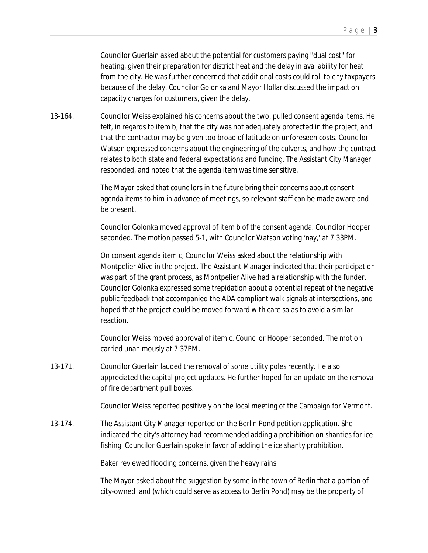Councilor Guerlain asked about the potential for customers paying "dual cost" for heating, given their preparation for district heat and the delay in availability for heat from the city. He was further concerned that additional costs could roll to city taxpayers because of the delay. Councilor Golonka and Mayor Hollar discussed the impact on capacity charges for customers, given the delay.

13-164. Councilor Weiss explained his concerns about the two, pulled consent agenda items. He felt, in regards to item b, that the city was not adequately protected in the project, and that the contractor may be given too broad of latitude on unforeseen costs. Councilor Watson expressed concerns about the engineering of the culverts, and how the contract relates to both state and federal expectations and funding. The Assistant City Manager responded, and noted that the agenda item was time sensitive.

> The Mayor asked that councilors in the future bring their concerns about consent agenda items to him in advance of meetings, so relevant staff can be made aware and be present.

> Councilor Golonka moved approval of item b of the consent agenda. Councilor Hooper seconded. The motion passed 5-1, with Councilor Watson voting 'nay,' at 7:33PM.

On consent agenda item c, Councilor Weiss asked about the relationship with Montpelier Alive in the project. The Assistant Manager indicated that their participation was part of the grant process, as Montpelier Alive had a relationship with the funder. Councilor Golonka expressed some trepidation about a potential repeat of the negative public feedback that accompanied the ADA compliant walk signals at intersections, and hoped that the project could be moved forward with care so as to avoid a similar reaction.

Councilor Weiss moved approval of item c. Councilor Hooper seconded. The motion carried unanimously at 7:37PM.

13-171. Councilor Guerlain lauded the removal of some utility poles recently. He also appreciated the capital project updates. He further hoped for an update on the removal of fire department pull boxes.

Councilor Weiss reported positively on the local meeting of the Campaign for Vermont.

13-174. The Assistant City Manager reported on the Berlin Pond petition application. She indicated the city's attorney had recommended adding a prohibition on shanties for ice fishing. Councilor Guerlain spoke in favor of adding the ice shanty prohibition.

Baker reviewed flooding concerns, given the heavy rains.

The Mayor asked about the suggestion by some in the town of Berlin that a portion of city-owned land (which could serve as access to Berlin Pond) may be the property of